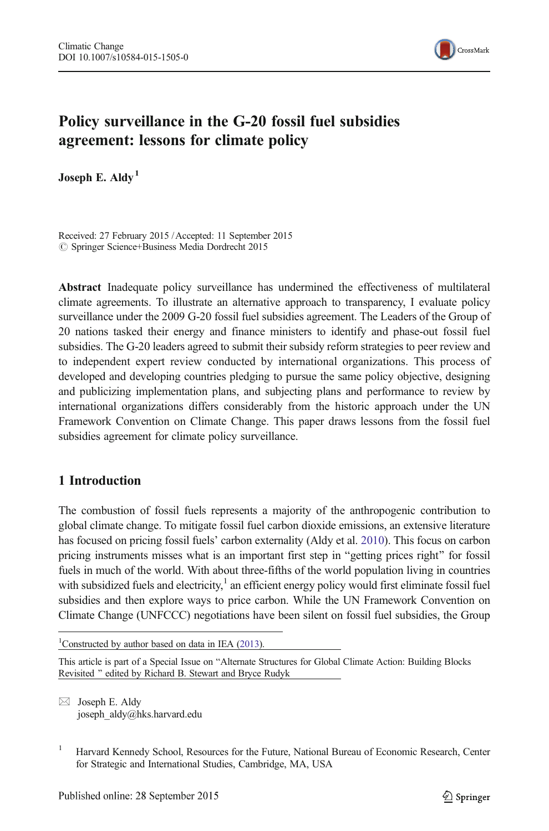

# Policy surveillance in the G-20 fossil fuel subsidies agreement: lessons for climate policy

Joseph E.  $\mathrm{A}$ ldy<sup>1</sup>

Received: 27 February 2015 /Accepted: 11 September 2015  $\oslash$  Springer Science+Business Media Dordrecht 2015

Abstract Inadequate policy surveillance has undermined the effectiveness of multilateral climate agreements. To illustrate an alternative approach to transparency, I evaluate policy surveillance under the 2009 G-20 fossil fuel subsidies agreement. The Leaders of the Group of 20 nations tasked their energy and finance ministers to identify and phase-out fossil fuel subsidies. The G-20 leaders agreed to submit their subsidy reform strategies to peer review and to independent expert review conducted by international organizations. This process of developed and developing countries pledging to pursue the same policy objective, designing and publicizing implementation plans, and subjecting plans and performance to review by international organizations differs considerably from the historic approach under the UN Framework Convention on Climate Change. This paper draws lessons from the fossil fuel subsidies agreement for climate policy surveillance.

## 1 Introduction

The combustion of fossil fuels represents a majority of the anthropogenic contribution to global climate change. To mitigate fossil fuel carbon dioxide emissions, an extensive literature has focused on pricing fossil fuels' carbon externality (Aldy et al. [2010\)](#page-12-0). This focus on carbon pricing instruments misses what is an important first step in "getting prices right" for fossil fuels in much of the world. With about three-fifths of the world population living in countries with subsidized fuels and electricity, $\frac{1}{2}$  an efficient energy policy would first eliminate fossil fuel subsidies and then explore ways to price carbon. While the UN Framework Convention on Climate Change (UNFCCC) negotiations have been silent on fossil fuel subsidies, the Group

<sup>1</sup>Constructed by author based on data in IEA [\(2013\)](#page-12-0).

This article is part of a Special Issue on "Alternate Structures for Global Climate Action: Building Blocks Revisited " edited by Richard B. Stewart and Bryce Rudyk

 $\boxtimes$  Joseph E. Aldy joseph\_aldy@hks.harvard.edu

<sup>&</sup>lt;sup>1</sup> Harvard Kennedy School, Resources for the Future, National Bureau of Economic Research, Center for Strategic and International Studies, Cambridge, MA, USA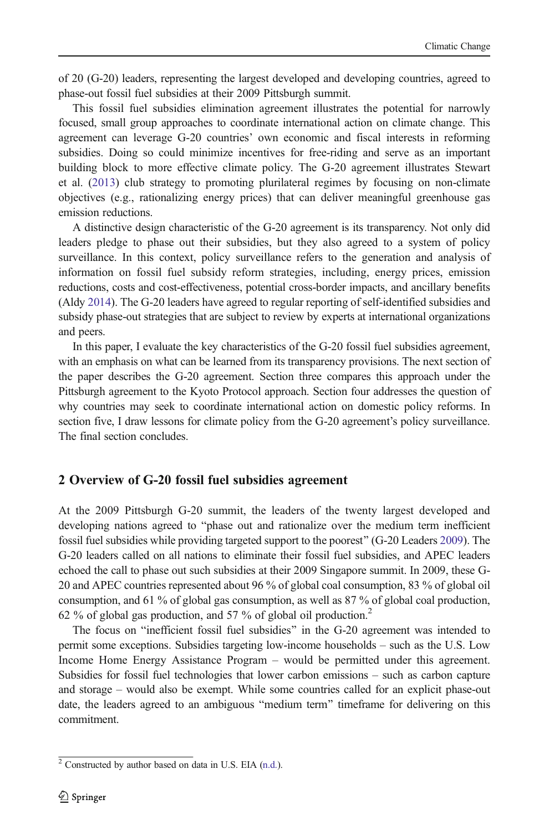of 20 (G-20) leaders, representing the largest developed and developing countries, agreed to phase-out fossil fuel subsidies at their 2009 Pittsburgh summit.

This fossil fuel subsidies elimination agreement illustrates the potential for narrowly focused, small group approaches to coordinate international action on climate change. This agreement can leverage G-20 countries' own economic and fiscal interests in reforming subsidies. Doing so could minimize incentives for free-riding and serve as an important building block to more effective climate policy. The G-20 agreement illustrates Stewart et al. ([2013](#page-13-0)) club strategy to promoting plurilateral regimes by focusing on non-climate objectives (e.g., rationalizing energy prices) that can deliver meaningful greenhouse gas emission reductions.

A distinctive design characteristic of the G-20 agreement is its transparency. Not only did leaders pledge to phase out their subsidies, but they also agreed to a system of policy surveillance. In this context, policy surveillance refers to the generation and analysis of information on fossil fuel subsidy reform strategies, including, energy prices, emission reductions, costs and cost-effectiveness, potential cross-border impacts, and ancillary benefits (Aldy [2014\)](#page-12-0). The G-20 leaders have agreed to regular reporting of self-identified subsidies and subsidy phase-out strategies that are subject to review by experts at international organizations and peers.

In this paper, I evaluate the key characteristics of the G-20 fossil fuel subsidies agreement, with an emphasis on what can be learned from its transparency provisions. The next section of the paper describes the G-20 agreement. Section three compares this approach under the Pittsburgh agreement to the Kyoto Protocol approach. Section four addresses the question of why countries may seek to coordinate international action on domestic policy reforms. In section five, I draw lessons for climate policy from the G-20 agreement's policy surveillance. The final section concludes.

## 2 Overview of G-20 fossil fuel subsidies agreement

At the 2009 Pittsburgh G-20 summit, the leaders of the twenty largest developed and developing nations agreed to "phase out and rationalize over the medium term inefficient fossil fuel subsidies while providing targeted support to the poorest^ (G-20 Leaders [2009\)](#page-12-0). The G-20 leaders called on all nations to eliminate their fossil fuel subsidies, and APEC leaders echoed the call to phase out such subsidies at their 2009 Singapore summit. In 2009, these G-20 and APEC countries represented about 96 % of global coal consumption, 83 % of global oil consumption, and 61 % of global gas consumption, as well as 87 % of global coal production, 62 % of global gas production, and 57 % of global oil production.<sup>2</sup>

The focus on "inefficient fossil fuel subsidies" in the G-20 agreement was intended to permit some exceptions. Subsidies targeting low-income households – such as the U.S. Low Income Home Energy Assistance Program – would be permitted under this agreement. Subsidies for fossil fuel technologies that lower carbon emissions – such as carbon capture and storage – would also be exempt. While some countries called for an explicit phase-out date, the leaders agreed to an ambiguous "medium term" timeframe for delivering on this commitment.

 $\frac{2}{2}$  Constructed by author based on data in U.S. EIA ([n.d.](#page-13-0)).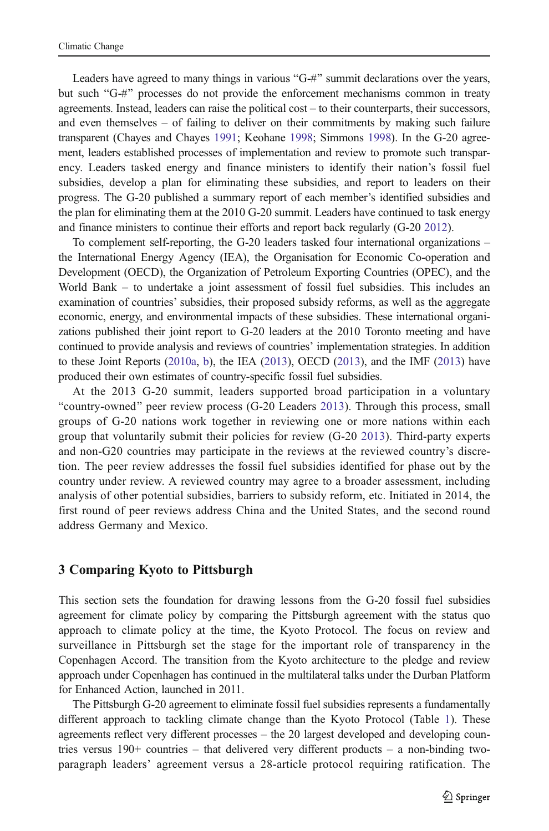Leaders have agreed to many things in various " $G#$ " summit declarations over the years, but such " $G_{+}$ " processes do not provide the enforcement mechanisms common in treaty agreements. Instead, leaders can raise the political cost – to their counterparts, their successors, and even themselves – of failing to deliver on their commitments by making such failure transparent (Chayes and Chayes [1991;](#page-12-0) Keohane [1998;](#page-13-0) Simmons [1998](#page-13-0)). In the G-20 agreement, leaders established processes of implementation and review to promote such transparency. Leaders tasked energy and finance ministers to identify their nation's fossil fuel subsidies, develop a plan for eliminating these subsidies, and report to leaders on their progress. The G-20 published a summary report of each member's identified subsidies and the plan for eliminating them at the 2010 G-20 summit. Leaders have continued to task energy and finance ministers to continue their efforts and report back regularly (G-20 [2012](#page-12-0)).

To complement self-reporting, the G-20 leaders tasked four international organizations – the International Energy Agency (IEA), the Organisation for Economic Co-operation and Development (OECD), the Organization of Petroleum Exporting Countries (OPEC), and the World Bank – to undertake a joint assessment of fossil fuel subsidies. This includes an examination of countries' subsidies, their proposed subsidy reforms, as well as the aggregate economic, energy, and environmental impacts of these subsidies. These international organizations published their joint report to G-20 leaders at the 2010 Toronto meeting and have continued to provide analysis and reviews of countries' implementation strategies. In addition to these Joint Reports ([2010a](#page-12-0), [b](#page-12-0)), the IEA ([2013](#page-12-0)), OECD [\(2013\)](#page-13-0), and the IMF [\(2013\)](#page-12-0) have produced their own estimates of country-specific fossil fuel subsidies.

At the 2013 G-20 summit, leaders supported broad participation in a voluntary "country-owned" peer review process (G-20 Leaders [2013\)](#page-12-0). Through this process, small groups of G-20 nations work together in reviewing one or more nations within each group that voluntarily submit their policies for review (G-20 [2013\)](#page-12-0). Third-party experts and non-G20 countries may participate in the reviews at the reviewed country's discretion. The peer review addresses the fossil fuel subsidies identified for phase out by the country under review. A reviewed country may agree to a broader assessment, including analysis of other potential subsidies, barriers to subsidy reform, etc. Initiated in 2014, the first round of peer reviews address China and the United States, and the second round address Germany and Mexico.

## 3 Comparing Kyoto to Pittsburgh

This section sets the foundation for drawing lessons from the G-20 fossil fuel subsidies agreement for climate policy by comparing the Pittsburgh agreement with the status quo approach to climate policy at the time, the Kyoto Protocol. The focus on review and surveillance in Pittsburgh set the stage for the important role of transparency in the Copenhagen Accord. The transition from the Kyoto architecture to the pledge and review approach under Copenhagen has continued in the multilateral talks under the Durban Platform for Enhanced Action, launched in 2011.

The Pittsburgh G-20 agreement to eliminate fossil fuel subsidies represents a fundamentally different approach to tackling climate change than the Kyoto Protocol (Table [1\)](#page-3-0). These agreements reflect very different processes – the 20 largest developed and developing countries versus 190+ countries – that delivered very different products – a non-binding twoparagraph leaders' agreement versus a 28-article protocol requiring ratification. The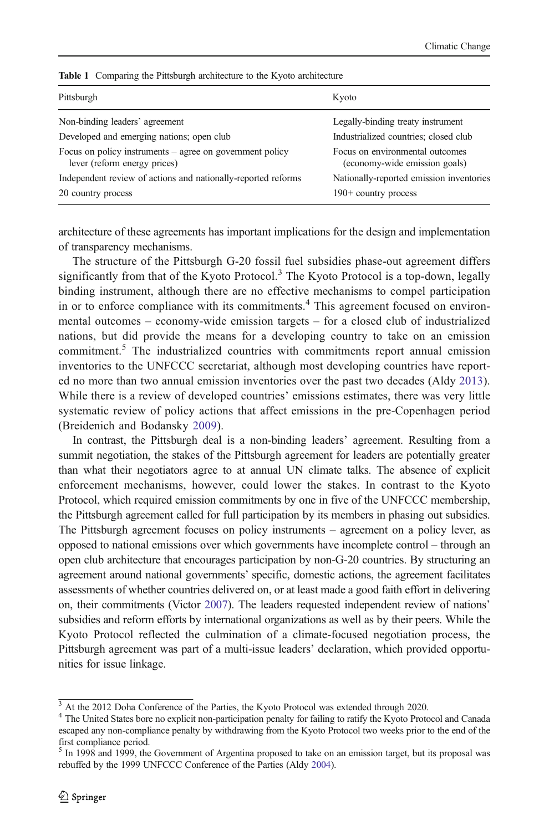| Pittsburgh                                                                                 | Kyoto                                                            |
|--------------------------------------------------------------------------------------------|------------------------------------------------------------------|
| Non-binding leaders' agreement                                                             | Legally-binding treaty instrument                                |
| Developed and emerging nations; open club                                                  | Industrialized countries; closed club                            |
| Focus on policy instruments $-$ agree on government policy<br>lever (reform energy prices) | Focus on environmental outcomes<br>(economy-wide emission goals) |
| Independent review of actions and nationally-reported reforms                              | Nationally-reported emission inventories                         |
| 20 country process                                                                         | $190+$ country process                                           |

<span id="page-3-0"></span>

| <b>Table 1</b> Comparing the Pittsburgh architecture to the Kyoto architecture |
|--------------------------------------------------------------------------------|
|--------------------------------------------------------------------------------|

architecture of these agreements has important implications for the design and implementation of transparency mechanisms.

The structure of the Pittsburgh G-20 fossil fuel subsidies phase-out agreement differs significantly from that of the Kyoto Protocol.<sup>3</sup> The Kyoto Protocol is a top-down, legally binding instrument, although there are no effective mechanisms to compel participation in or to enforce compliance with its commitments.<sup>4</sup> This agreement focused on environmental outcomes – economy-wide emission targets – for a closed club of industrialized nations, but did provide the means for a developing country to take on an emission commitment.<sup>5</sup> The industrialized countries with commitments report annual emission inventories to the UNFCCC secretariat, although most developing countries have reported no more than two annual emission inventories over the past two decades (Aldy [2013](#page-12-0)). While there is a review of developed countries' emissions estimates, there was very little systematic review of policy actions that affect emissions in the pre-Copenhagen period (Breidenich and Bodansky [2009\)](#page-12-0).

In contrast, the Pittsburgh deal is a non-binding leaders' agreement. Resulting from a summit negotiation, the stakes of the Pittsburgh agreement for leaders are potentially greater than what their negotiators agree to at annual UN climate talks. The absence of explicit enforcement mechanisms, however, could lower the stakes. In contrast to the Kyoto Protocol, which required emission commitments by one in five of the UNFCCC membership, the Pittsburgh agreement called for full participation by its members in phasing out subsidies. The Pittsburgh agreement focuses on policy instruments – agreement on a policy lever, as opposed to national emissions over which governments have incomplete control – through an open club architecture that encourages participation by non-G-20 countries. By structuring an agreement around national governments' specific, domestic actions, the agreement facilitates assessments of whether countries delivered on, or at least made a good faith effort in delivering on, their commitments (Victor [2007](#page-13-0)). The leaders requested independent review of nations' subsidies and reform efforts by international organizations as well as by their peers. While the Kyoto Protocol reflected the culmination of a climate-focused negotiation process, the Pittsburgh agreement was part of a multi-issue leaders' declaration, which provided opportunities for issue linkage.

<sup>&</sup>lt;sup>3</sup> At the 2012 Doha Conference of the Parties, the Kyoto Protocol was extended through 2020.

<sup>&</sup>lt;sup>4</sup> The United States bore no explicit non-participation penalty for failing to ratify the Kyoto Protocol and Canada escaped any non-compliance penalty by withdrawing from the Kyoto Protocol two weeks prior to the end of the first compliance period.

 $<sup>5</sup>$  In 1998 and 1999, the Government of Argentina proposed to take on an emission target, but its proposal was</sup> rebuffed by the 1999 UNFCCC Conference of the Parties (Aldy [2004\)](#page-12-0).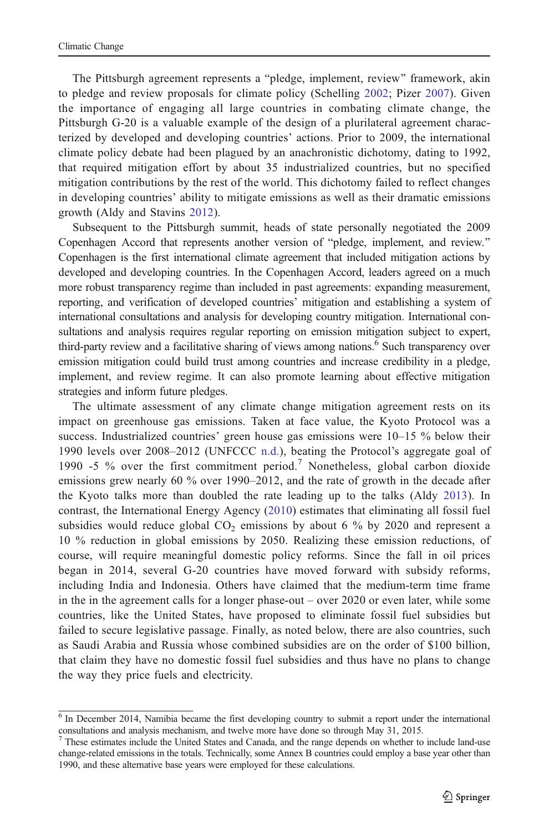The Pittsburgh agreement represents a "pledge, implement, review" framework, akin to pledge and review proposals for climate policy (Schelling [2002](#page-13-0); Pizer [2007](#page-13-0)). Given the importance of engaging all large countries in combating climate change, the Pittsburgh G-20 is a valuable example of the design of a plurilateral agreement characterized by developed and developing countries' actions. Prior to 2009, the international climate policy debate had been plagued by an anachronistic dichotomy, dating to 1992, that required mitigation effort by about 35 industrialized countries, but no specified mitigation contributions by the rest of the world. This dichotomy failed to reflect changes in developing countries' ability to mitigate emissions as well as their dramatic emissions growth (Aldy and Stavins [2012](#page-12-0)).

Subsequent to the Pittsburgh summit, heads of state personally negotiated the 2009 Copenhagen Accord that represents another version of "pledge, implement, and review." Copenhagen is the first international climate agreement that included mitigation actions by developed and developing countries. In the Copenhagen Accord, leaders agreed on a much more robust transparency regime than included in past agreements: expanding measurement, reporting, and verification of developed countries' mitigation and establishing a system of international consultations and analysis for developing country mitigation. International consultations and analysis requires regular reporting on emission mitigation subject to expert, third-party review and a facilitative sharing of views among nations.<sup>6</sup> Such transparency over emission mitigation could build trust among countries and increase credibility in a pledge, implement, and review regime. It can also promote learning about effective mitigation strategies and inform future pledges.

The ultimate assessment of any climate change mitigation agreement rests on its impact on greenhouse gas emissions. Taken at face value, the Kyoto Protocol was a success. Industrialized countries' green house gas emissions were 10–15 % below their 1990 levels over 2008–2012 (UNFCCC [n.d.\)](#page-13-0), beating the Protocol's aggregate goal of 1990 -5  $\%$  over the first commitment period.<sup>7</sup> Nonetheless, global carbon dioxide emissions grew nearly 60 % over 1990–2012, and the rate of growth in the decade after the Kyoto talks more than doubled the rate leading up to the talks (Aldy [2013\)](#page-12-0). In contrast, the International Energy Agency ([2010](#page-12-0)) estimates that eliminating all fossil fuel subsidies would reduce global  $CO<sub>2</sub>$  emissions by about 6 % by 2020 and represent a 10 % reduction in global emissions by 2050. Realizing these emission reductions, of course, will require meaningful domestic policy reforms. Since the fall in oil prices began in 2014, several G-20 countries have moved forward with subsidy reforms, including India and Indonesia. Others have claimed that the medium-term time frame in the in the agreement calls for a longer phase-out – over 2020 or even later, while some countries, like the United States, have proposed to eliminate fossil fuel subsidies but failed to secure legislative passage. Finally, as noted below, there are also countries, such as Saudi Arabia and Russia whose combined subsidies are on the order of \$100 billion, that claim they have no domestic fossil fuel subsidies and thus have no plans to change the way they price fuels and electricity.

<sup>&</sup>lt;sup>6</sup> In December 2014, Namibia became the first developing country to submit a report under the international consultations and analysis mechanism, and twelve more have done so through May 31, 2015.

<sup>7</sup> These estimates include the United States and Canada, and the range depends on whether to include land-use change-related emissions in the totals. Technically, some Annex B countries could employ a base year other than 1990, and these alternative base years were employed for these calculations.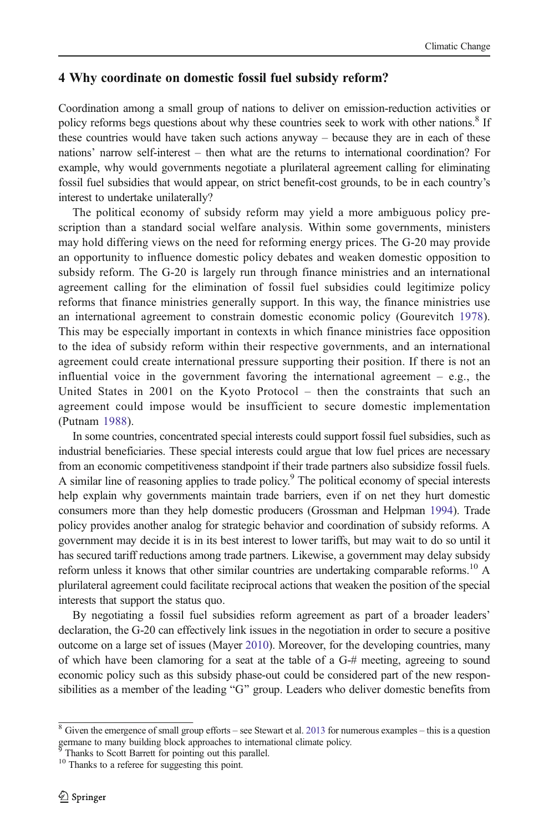## 4 Why coordinate on domestic fossil fuel subsidy reform?

Coordination among a small group of nations to deliver on emission-reduction activities or policy reforms begs questions about why these countries seek to work with other nations.<sup>8</sup> If these countries would have taken such actions anyway – because they are in each of these nations' narrow self-interest – then what are the returns to international coordination? For example, why would governments negotiate a plurilateral agreement calling for eliminating fossil fuel subsidies that would appear, on strict benefit-cost grounds, to be in each country's interest to undertake unilaterally?

The political economy of subsidy reform may yield a more ambiguous policy prescription than a standard social welfare analysis. Within some governments, ministers may hold differing views on the need for reforming energy prices. The G-20 may provide an opportunity to influence domestic policy debates and weaken domestic opposition to subsidy reform. The G-20 is largely run through finance ministries and an international agreement calling for the elimination of fossil fuel subsidies could legitimize policy reforms that finance ministries generally support. In this way, the finance ministries use an international agreement to constrain domestic economic policy (Gourevitch [1978](#page-12-0)). This may be especially important in contexts in which finance ministries face opposition to the idea of subsidy reform within their respective governments, and an international agreement could create international pressure supporting their position. If there is not an influential voice in the government favoring the international agreement  $-$  e.g., the United States in 2001 on the Kyoto Protocol – then the constraints that such an agreement could impose would be insufficient to secure domestic implementation (Putnam [1988\)](#page-13-0).

In some countries, concentrated special interests could support fossil fuel subsidies, such as industrial beneficiaries. These special interests could argue that low fuel prices are necessary from an economic competitiveness standpoint if their trade partners also subsidize fossil fuels. A similar line of reasoning applies to trade policy.<sup>9</sup> The political economy of special interests help explain why governments maintain trade barriers, even if on net they hurt domestic consumers more than they help domestic producers (Grossman and Helpman [1994\)](#page-12-0). Trade policy provides another analog for strategic behavior and coordination of subsidy reforms. A government may decide it is in its best interest to lower tariffs, but may wait to do so until it has secured tariff reductions among trade partners. Likewise, a government may delay subsidy reform unless it knows that other similar countries are undertaking comparable reforms.<sup>10</sup> A plurilateral agreement could facilitate reciprocal actions that weaken the position of the special interests that support the status quo.

By negotiating a fossil fuel subsidies reform agreement as part of a broader leaders' declaration, the G-20 can effectively link issues in the negotiation in order to secure a positive outcome on a large set of issues (Mayer [2010](#page-13-0)). Moreover, for the developing countries, many of which have been clamoring for a seat at the table of a  $G#$  meeting, agreeing to sound economic policy such as this subsidy phase-out could be considered part of the new responsibilities as a member of the leading "G" group. Leaders who deliver domestic benefits from

 $8$  Given the emergence of small group efforts – see Stewart et al. [2013](#page-13-0) for numerous examples – this is a question germane to many building block approaches to international climate policy.

Thanks to Scott Barrett for pointing out this parallel.

<sup>&</sup>lt;sup>10</sup> Thanks to a referee for suggesting this point.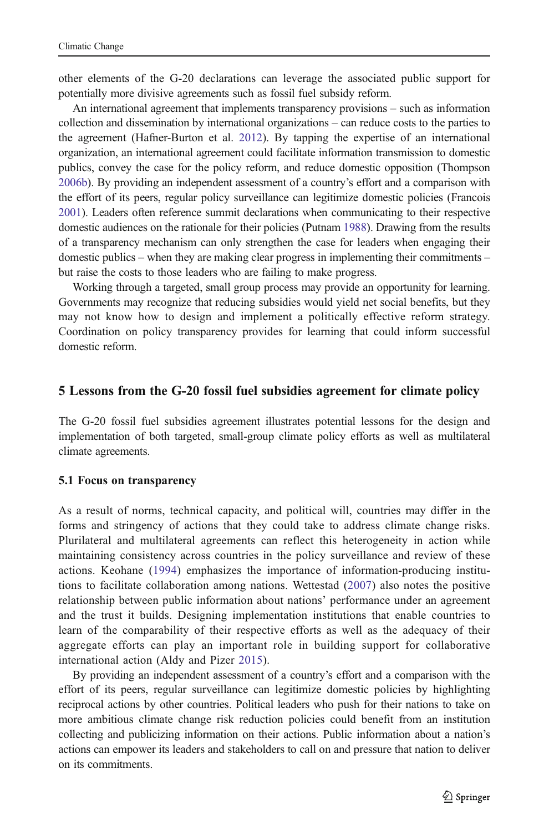other elements of the G-20 declarations can leverage the associated public support for potentially more divisive agreements such as fossil fuel subsidy reform.

An international agreement that implements transparency provisions – such as information collection and dissemination by international organizations – can reduce costs to the parties to the agreement (Hafner-Burton et al. [2012](#page-12-0)). By tapping the expertise of an international organization, an international agreement could facilitate information transmission to domestic publics, convey the case for the policy reform, and reduce domestic opposition (Thompson [2006b\)](#page-13-0). By providing an independent assessment of a country's effort and a comparison with the effort of its peers, regular policy surveillance can legitimize domestic policies (Francois [2001](#page-12-0)). Leaders often reference summit declarations when communicating to their respective domestic audiences on the rationale for their policies (Putnam [1988](#page-13-0)). Drawing from the results of a transparency mechanism can only strengthen the case for leaders when engaging their domestic publics – when they are making clear progress in implementing their commitments – but raise the costs to those leaders who are failing to make progress.

Working through a targeted, small group process may provide an opportunity for learning. Governments may recognize that reducing subsidies would yield net social benefits, but they may not know how to design and implement a politically effective reform strategy. Coordination on policy transparency provides for learning that could inform successful domestic reform.

#### 5 Lessons from the G-20 fossil fuel subsidies agreement for climate policy

The G-20 fossil fuel subsidies agreement illustrates potential lessons for the design and implementation of both targeted, small-group climate policy efforts as well as multilateral climate agreements.

#### 5.1 Focus on transparency

As a result of norms, technical capacity, and political will, countries may differ in the forms and stringency of actions that they could take to address climate change risks. Plurilateral and multilateral agreements can reflect this heterogeneity in action while maintaining consistency across countries in the policy surveillance and review of these actions. Keohane [\(1994\)](#page-12-0) emphasizes the importance of information-producing institutions to facilitate collaboration among nations. Wettestad [\(2007\)](#page-13-0) also notes the positive relationship between public information about nations' performance under an agreement and the trust it builds. Designing implementation institutions that enable countries to learn of the comparability of their respective efforts as well as the adequacy of their aggregate efforts can play an important role in building support for collaborative international action (Aldy and Pizer [2015\)](#page-12-0).

By providing an independent assessment of a country's effort and a comparison with the effort of its peers, regular surveillance can legitimize domestic policies by highlighting reciprocal actions by other countries. Political leaders who push for their nations to take on more ambitious climate change risk reduction policies could benefit from an institution collecting and publicizing information on their actions. Public information about a nation's actions can empower its leaders and stakeholders to call on and pressure that nation to deliver on its commitments.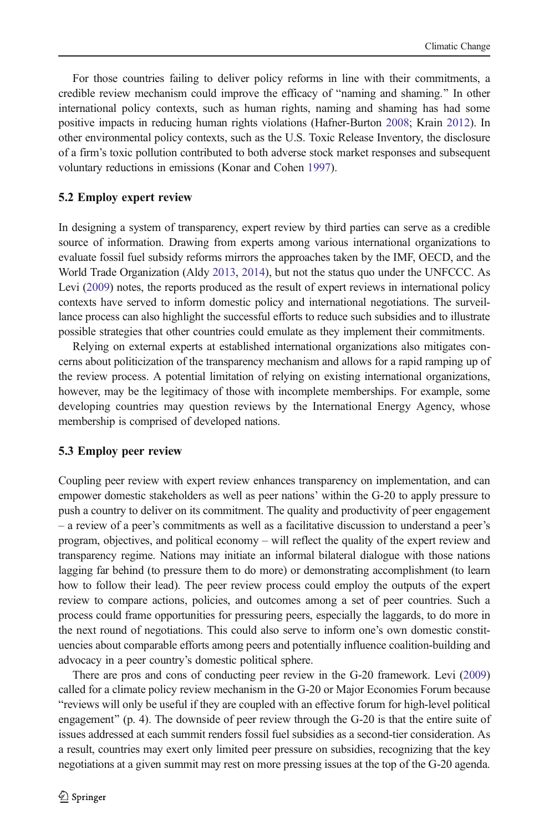For those countries failing to deliver policy reforms in line with their commitments, a credible review mechanism could improve the efficacy of "naming and shaming." In other international policy contexts, such as human rights, naming and shaming has had some positive impacts in reducing human rights violations (Hafner-Burton [2008;](#page-12-0) Krain [2012](#page-13-0)). In other environmental policy contexts, such as the U.S. Toxic Release Inventory, the disclosure of a firm's toxic pollution contributed to both adverse stock market responses and subsequent voluntary reductions in emissions (Konar and Cohen [1997\)](#page-13-0).

#### 5.2 Employ expert review

In designing a system of transparency, expert review by third parties can serve as a credible source of information. Drawing from experts among various international organizations to evaluate fossil fuel subsidy reforms mirrors the approaches taken by the IMF, OECD, and the World Trade Organization (Aldy [2013,](#page-12-0) [2014](#page-12-0)), but not the status quo under the UNFCCC. As Levi [\(2009\)](#page-13-0) notes, the reports produced as the result of expert reviews in international policy contexts have served to inform domestic policy and international negotiations. The surveillance process can also highlight the successful efforts to reduce such subsidies and to illustrate possible strategies that other countries could emulate as they implement their commitments.

Relying on external experts at established international organizations also mitigates concerns about politicization of the transparency mechanism and allows for a rapid ramping up of the review process. A potential limitation of relying on existing international organizations, however, may be the legitimacy of those with incomplete memberships. For example, some developing countries may question reviews by the International Energy Agency, whose membership is comprised of developed nations.

#### 5.3 Employ peer review

Coupling peer review with expert review enhances transparency on implementation, and can empower domestic stakeholders as well as peer nations' within the G-20 to apply pressure to push a country to deliver on its commitment. The quality and productivity of peer engagement – a review of a peer's commitments as well as a facilitative discussion to understand a peer's program, objectives, and political economy – will reflect the quality of the expert review and transparency regime. Nations may initiate an informal bilateral dialogue with those nations lagging far behind (to pressure them to do more) or demonstrating accomplishment (to learn how to follow their lead). The peer review process could employ the outputs of the expert review to compare actions, policies, and outcomes among a set of peer countries. Such a process could frame opportunities for pressuring peers, especially the laggards, to do more in the next round of negotiations. This could also serve to inform one's own domestic constituencies about comparable efforts among peers and potentially influence coalition-building and advocacy in a peer country's domestic political sphere.

There are pros and cons of conducting peer review in the G-20 framework. Levi [\(2009\)](#page-13-0) called for a climate policy review mechanism in the G-20 or Major Economies Forum because "reviews will only be useful if they are coupled with an effective forum for high-level political engagement" (p. 4). The downside of peer review through the  $G-20$  is that the entire suite of issues addressed at each summit renders fossil fuel subsidies as a second-tier consideration. As a result, countries may exert only limited peer pressure on subsidies, recognizing that the key negotiations at a given summit may rest on more pressing issues at the top of the G-20 agenda.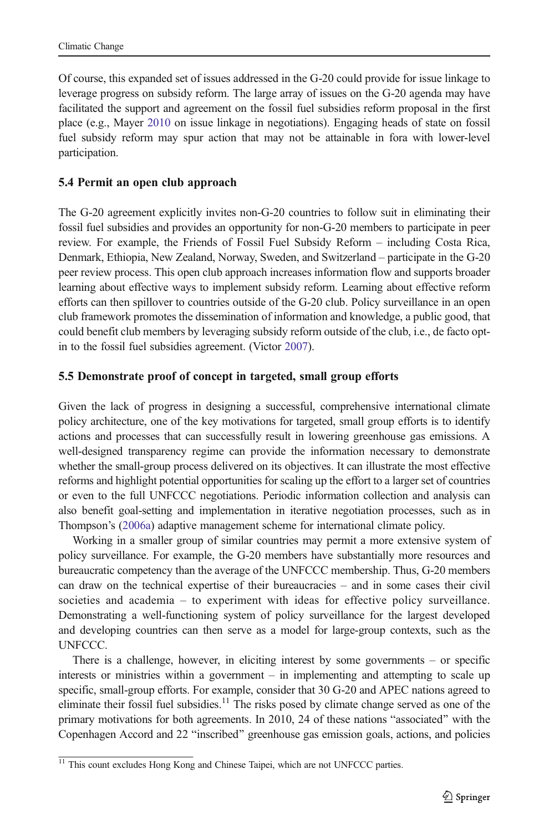Of course, this expanded set of issues addressed in the G-20 could provide for issue linkage to leverage progress on subsidy reform. The large array of issues on the G-20 agenda may have facilitated the support and agreement on the fossil fuel subsidies reform proposal in the first place (e.g., Mayer [2010](#page-13-0) on issue linkage in negotiations). Engaging heads of state on fossil fuel subsidy reform may spur action that may not be attainable in fora with lower-level participation.

## 5.4 Permit an open club approach

The G-20 agreement explicitly invites non-G-20 countries to follow suit in eliminating their fossil fuel subsidies and provides an opportunity for non-G-20 members to participate in peer review. For example, the Friends of Fossil Fuel Subsidy Reform – including Costa Rica, Denmark, Ethiopia, New Zealand, Norway, Sweden, and Switzerland – participate in the G-20 peer review process. This open club approach increases information flow and supports broader learning about effective ways to implement subsidy reform. Learning about effective reform efforts can then spillover to countries outside of the G-20 club. Policy surveillance in an open club framework promotes the dissemination of information and knowledge, a public good, that could benefit club members by leveraging subsidy reform outside of the club, i.e., de facto optin to the fossil fuel subsidies agreement. (Victor [2007\)](#page-13-0).

## 5.5 Demonstrate proof of concept in targeted, small group efforts

Given the lack of progress in designing a successful, comprehensive international climate policy architecture, one of the key motivations for targeted, small group efforts is to identify actions and processes that can successfully result in lowering greenhouse gas emissions. A well-designed transparency regime can provide the information necessary to demonstrate whether the small-group process delivered on its objectives. It can illustrate the most effective reforms and highlight potential opportunities for scaling up the effort to a larger set of countries or even to the full UNFCCC negotiations. Periodic information collection and analysis can also benefit goal-setting and implementation in iterative negotiation processes, such as in Thompson's [\(2006a\)](#page-13-0) adaptive management scheme for international climate policy.

Working in a smaller group of similar countries may permit a more extensive system of policy surveillance. For example, the G-20 members have substantially more resources and bureaucratic competency than the average of the UNFCCC membership. Thus, G-20 members can draw on the technical expertise of their bureaucracies – and in some cases their civil societies and academia – to experiment with ideas for effective policy surveillance. Demonstrating a well-functioning system of policy surveillance for the largest developed and developing countries can then serve as a model for large-group contexts, such as the UNFCCC.

There is a challenge, however, in eliciting interest by some governments – or specific interests or ministries within a government – in implementing and attempting to scale up specific, small-group efforts. For example, consider that 30 G-20 and APEC nations agreed to eliminate their fossil fuel subsidies.<sup>11</sup> The risks posed by climate change served as one of the primary motivations for both agreements. In 2010, 24 of these nations "associated" with the Copenhagen Accord and 22 "inscribed" greenhouse gas emission goals, actions, and policies

 $11$  This count excludes Hong Kong and Chinese Taipei, which are not UNFCCC parties.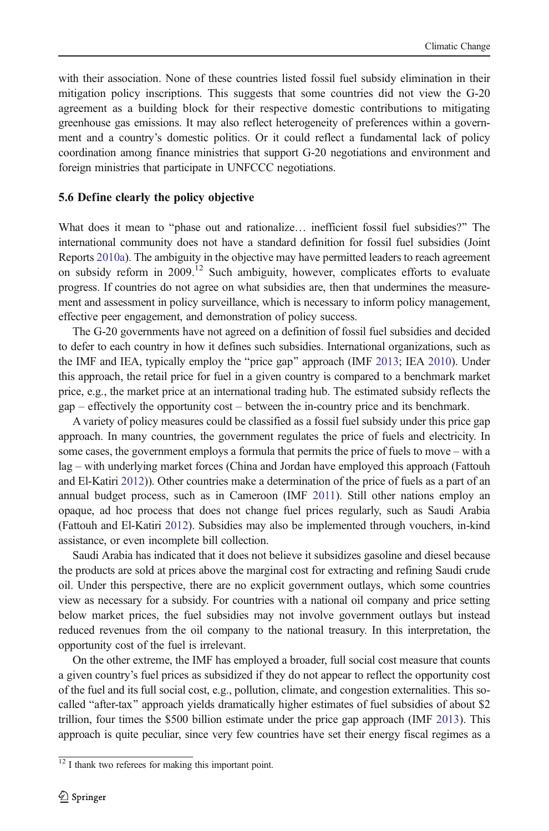with their association. None of these countries listed fossil fuel subsidy elimination in their mitigation policy inscriptions. This suggests that some countries did not view the G-20 agreement as a building block for their respective domestic contributions to mitigating greenhouse gas emissions. It may also reflect heterogeneity of preferences within a government and a country's domestic politics. Or it could reflect a fundamental lack of policy coordination among finance ministries that support G-20 negotiations and environment and foreign ministries that participate in UNFCCC negotiations.

## 5.6 Define clearly the policy objective

What does it mean to "phase out and rationalize... inefficient fossil fuel subsidies?" The international community does not have a standard definition for fossil fuel subsidies (Joint Reports [2010a\)](#page-12-0). The ambiguity in the objective may have permitted leaders to reach agreement on subsidy reform in  $2009$ .<sup>12</sup> Such ambiguity, however, complicates efforts to evaluate progress. If countries do not agree on what subsidies are, then that undermines the measurement and assessment in policy surveillance, which is necessary to inform policy management, effective peer engagement, and demonstration of policy success.

The G-20 governments have not agreed on a definition of fossil fuel subsidies and decided to defer to each country in how it defines such subsidies. International organizations, such as the IMF and IEA, typically employ the "price gap" approach (IMF [2013](#page-12-0); IEA [2010](#page-12-0)). Under this approach, the retail price for fuel in a given country is compared to a benchmark market price, e.g., the market price at an international trading hub. The estimated subsidy reflects the gap – effectively the opportunity cost – between the in-country price and its benchmark.

A variety of policy measures could be classified as a fossil fuel subsidy under this price gap approach. In many countries, the government regulates the price of fuels and electricity. In some cases, the government employs a formula that permits the price of fuels to move – with a lag – with underlying market forces (China and Jordan have employed this approach (Fattouh and El-Katiri [2012\)](#page-12-0)). Other countries make a determination of the price of fuels as a part of an annual budget process, such as in Cameroon (IMF [2011\)](#page-12-0). Still other nations employ an opaque, ad hoc process that does not change fuel prices regularly, such as Saudi Arabia (Fattouh and El-Katiri [2012\)](#page-12-0). Subsidies may also be implemented through vouchers, in-kind assistance, or even incomplete bill collection.

Saudi Arabia has indicated that it does not believe it subsidizes gasoline and diesel because the products are sold at prices above the marginal cost for extracting and refining Saudi crude oil. Under this perspective, there are no explicit government outlays, which some countries view as necessary for a subsidy. For countries with a national oil company and price setting below market prices, the fuel subsidies may not involve government outlays but instead reduced revenues from the oil company to the national treasury. In this interpretation, the opportunity cost of the fuel is irrelevant.

On the other extreme, the IMF has employed a broader, full social cost measure that counts a given country's fuel prices as subsidized if they do not appear to reflect the opportunity cost of the fuel and its full social cost, e.g., pollution, climate, and congestion externalities. This socalled "after-tax" approach yields dramatically higher estimates of fuel subsidies of about \$2 trillion, four times the \$500 billion estimate under the price gap approach (IMF [2013\)](#page-12-0). This approach is quite peculiar, since very few countries have set their energy fiscal regimes as a

 $\frac{12}{12}$  I thank two referees for making this important point.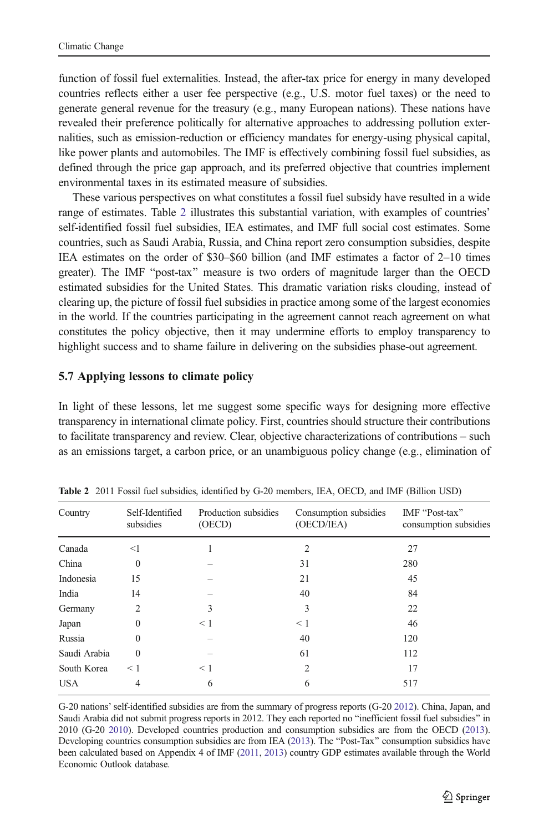function of fossil fuel externalities. Instead, the after-tax price for energy in many developed countries reflects either a user fee perspective (e.g., U.S. motor fuel taxes) or the need to generate general revenue for the treasury (e.g., many European nations). These nations have revealed their preference politically for alternative approaches to addressing pollution externalities, such as emission-reduction or efficiency mandates for energy-using physical capital, like power plants and automobiles. The IMF is effectively combining fossil fuel subsidies, as defined through the price gap approach, and its preferred objective that countries implement environmental taxes in its estimated measure of subsidies.

These various perspectives on what constitutes a fossil fuel subsidy have resulted in a wide range of estimates. Table 2 illustrates this substantial variation, with examples of countries' self-identified fossil fuel subsidies, IEA estimates, and IMF full social cost estimates. Some countries, such as Saudi Arabia, Russia, and China report zero consumption subsidies, despite IEA estimates on the order of \$30–\$60 billion (and IMF estimates a factor of 2–10 times greater). The IMF "post-tax" measure is two orders of magnitude larger than the OECD estimated subsidies for the United States. This dramatic variation risks clouding, instead of clearing up, the picture of fossil fuel subsidies in practice among some of the largest economies in the world. If the countries participating in the agreement cannot reach agreement on what constitutes the policy objective, then it may undermine efforts to employ transparency to highlight success and to shame failure in delivering on the subsidies phase-out agreement.

#### 5.7 Applying lessons to climate policy

In light of these lessons, let me suggest some specific ways for designing more effective transparency in international climate policy. First, countries should structure their contributions to facilitate transparency and review. Clear, objective characterizations of contributions – such as an emissions target, a carbon price, or an unambiguous policy change (e.g., elimination of

| Country      | Self-Identified<br>subsidies | Production subsidies<br>(OECD) | Consumption subsidies<br>(OECD/IEA) | IMF "Post-tax"<br>consumption subsidies |
|--------------|------------------------------|--------------------------------|-------------------------------------|-----------------------------------------|
| Canada       | $<$ 1                        |                                | 2                                   | 27                                      |
| China        | $\Omega$                     |                                | 31                                  | 280                                     |
| Indonesia    | 15                           |                                | 21                                  | 45                                      |
| India        | 14                           |                                | 40                                  | 84                                      |
| Germany      | $\overline{c}$               | 3                              | 3                                   | 22                                      |
| Japan        | $\Omega$                     | $\leq 1$                       | $\leq 1$                            | 46                                      |
| Russia       | $\Omega$                     |                                | 40                                  | 120                                     |
| Saudi Arabia | $\Omega$                     |                                | 61                                  | 112                                     |
| South Korea  | < 1                          | $\leq 1$                       | $\overline{c}$                      | 17                                      |
| <b>USA</b>   | 4                            | 6                              | 6                                   | 517                                     |

Table 2 2011 Fossil fuel subsidies, identified by G-20 members, IEA, OECD, and IMF (Billion USD)

G-20 nations' self-identified subsidies are from the summary of progress reports (G-20 [2012](#page-12-0)). China, Japan, and Saudi Arabia did not submit progress reports in 2012. They each reported no "inefficient fossil fuel subsidies" in 2010 (G-20 [2010\)](#page-12-0). Developed countries production and consumption subsidies are from the OECD ([2013](#page-13-0)). Developing countries consumption subsidies are from IEA ([2013](#page-12-0)). The "Post-Tax" consumption subsidies have been calculated based on Appendix 4 of IMF [\(2011,](#page-12-0) [2013](#page-12-0)) country GDP estimates available through the World Economic Outlook database.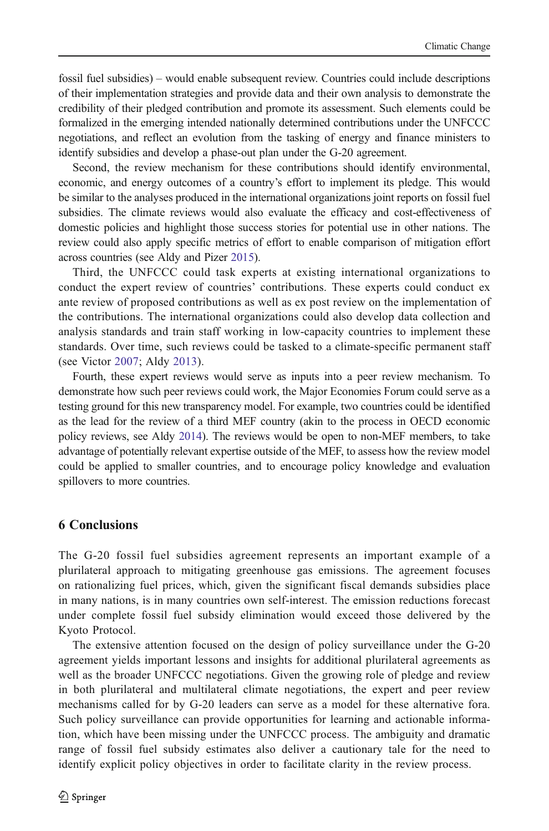fossil fuel subsidies) – would enable subsequent review. Countries could include descriptions of their implementation strategies and provide data and their own analysis to demonstrate the credibility of their pledged contribution and promote its assessment. Such elements could be formalized in the emerging intended nationally determined contributions under the UNFCCC negotiations, and reflect an evolution from the tasking of energy and finance ministers to identify subsidies and develop a phase-out plan under the G-20 agreement.

Second, the review mechanism for these contributions should identify environmental, economic, and energy outcomes of a country's effort to implement its pledge. This would be similar to the analyses produced in the international organizations joint reports on fossil fuel subsidies. The climate reviews would also evaluate the efficacy and cost-effectiveness of domestic policies and highlight those success stories for potential use in other nations. The review could also apply specific metrics of effort to enable comparison of mitigation effort across countries (see Aldy and Pizer [2015](#page-12-0)).

Third, the UNFCCC could task experts at existing international organizations to conduct the expert review of countries' contributions. These experts could conduct ex ante review of proposed contributions as well as ex post review on the implementation of the contributions. The international organizations could also develop data collection and analysis standards and train staff working in low-capacity countries to implement these standards. Over time, such reviews could be tasked to a climate-specific permanent staff (see Victor [2007](#page-13-0); Aldy [2013\)](#page-12-0).

Fourth, these expert reviews would serve as inputs into a peer review mechanism. To demonstrate how such peer reviews could work, the Major Economies Forum could serve as a testing ground for this new transparency model. For example, two countries could be identified as the lead for the review of a third MEF country (akin to the process in OECD economic policy reviews, see Aldy [2014\)](#page-12-0). The reviews would be open to non-MEF members, to take advantage of potentially relevant expertise outside of the MEF, to assess how the review model could be applied to smaller countries, and to encourage policy knowledge and evaluation spillovers to more countries.

## 6 Conclusions

The G-20 fossil fuel subsidies agreement represents an important example of a plurilateral approach to mitigating greenhouse gas emissions. The agreement focuses on rationalizing fuel prices, which, given the significant fiscal demands subsidies place in many nations, is in many countries own self-interest. The emission reductions forecast under complete fossil fuel subsidy elimination would exceed those delivered by the Kyoto Protocol.

The extensive attention focused on the design of policy surveillance under the G-20 agreement yields important lessons and insights for additional plurilateral agreements as well as the broader UNFCCC negotiations. Given the growing role of pledge and review in both plurilateral and multilateral climate negotiations, the expert and peer review mechanisms called for by G-20 leaders can serve as a model for these alternative fora. Such policy surveillance can provide opportunities for learning and actionable information, which have been missing under the UNFCCC process. The ambiguity and dramatic range of fossil fuel subsidy estimates also deliver a cautionary tale for the need to identify explicit policy objectives in order to facilitate clarity in the review process.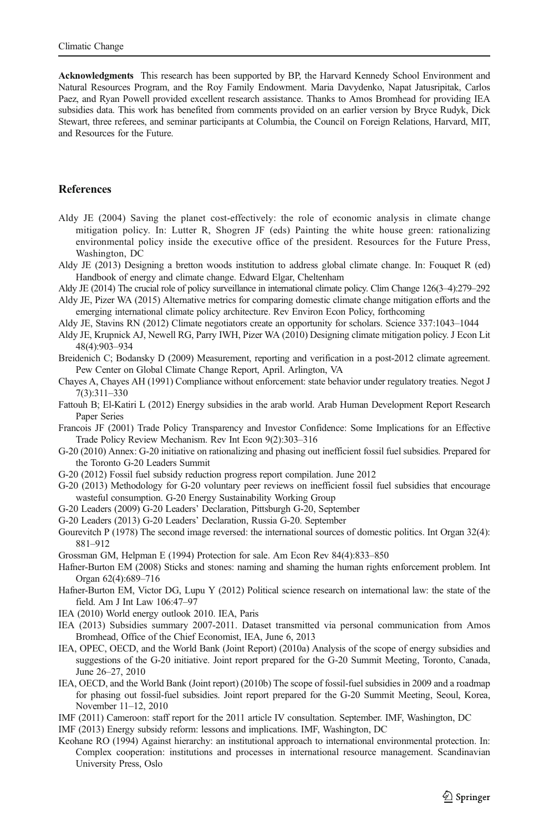<span id="page-12-0"></span>Acknowledgments This research has been supported by BP, the Harvard Kennedy School Environment and Natural Resources Program, and the Roy Family Endowment. Maria Davydenko, Napat Jatusripitak, Carlos Paez, and Ryan Powell provided excellent research assistance. Thanks to Amos Bromhead for providing IEA subsidies data. This work has benefited from comments provided on an earlier version by Bryce Rudyk, Dick Stewart, three referees, and seminar participants at Columbia, the Council on Foreign Relations, Harvard, MIT, and Resources for the Future.

#### **References**

- Aldy JE (2004) Saving the planet cost-effectively: the role of economic analysis in climate change mitigation policy. In: Lutter R, Shogren JF (eds) Painting the white house green: rationalizing environmental policy inside the executive office of the president. Resources for the Future Press, Washington, DC
- Aldy JE (2013) Designing a bretton woods institution to address global climate change. In: Fouquet R (ed) Handbook of energy and climate change. Edward Elgar, Cheltenham
- Aldy JE (2014) The crucial role of policy surveillance in international climate policy. Clim Change 126(3–4):279–292

Aldy JE, Pizer WA (2015) Alternative metrics for comparing domestic climate change mitigation efforts and the emerging international climate policy architecture. Rev Environ Econ Policy, forthcoming

- Aldy JE, Stavins RN (2012) Climate negotiators create an opportunity for scholars. Science 337:1043–1044
- Aldy JE, Krupnick AJ, Newell RG, Parry IWH, Pizer WA (2010) Designing climate mitigation policy. J Econ Lit 48(4):903–934
- Breidenich C; Bodansky D (2009) Measurement, reporting and verification in a post-2012 climate agreement. Pew Center on Global Climate Change Report, April. Arlington, VA
- Chayes A, Chayes AH (1991) Compliance without enforcement: state behavior under regulatory treaties. Negot J 7(3):311–330
- Fattouh B; El-Katiri L (2012) Energy subsidies in the arab world. Arab Human Development Report Research Paper Series
- Francois JF (2001) Trade Policy Transparency and Investor Confidence: Some Implications for an Effective Trade Policy Review Mechanism. Rev Int Econ 9(2):303–316
- G-20 (2010) Annex: G-20 initiative on rationalizing and phasing out inefficient fossil fuel subsidies. Prepared for the Toronto G-20 Leaders Summit
- G-20 (2012) Fossil fuel subsidy reduction progress report compilation. June 2012
- G-20 (2013) Methodology for G-20 voluntary peer reviews on inefficient fossil fuel subsidies that encourage wasteful consumption. G-20 Energy Sustainability Working Group
- G-20 Leaders (2009) G-20 Leaders' Declaration, Pittsburgh G-20, September
- G-20 Leaders (2013) G-20 Leaders' Declaration, Russia G-20. September
- Gourevitch P (1978) The second image reversed: the international sources of domestic politics. Int Organ 32(4): 881–912
- Grossman GM, Helpman E (1994) Protection for sale. Am Econ Rev 84(4):833–850
- Hafner-Burton EM (2008) Sticks and stones: naming and shaming the human rights enforcement problem. Int Organ 62(4):689–716
- Hafner-Burton EM, Victor DG, Lupu Y (2012) Political science research on international law: the state of the field. Am J Int Law 106:47–97
- IEA (2010) World energy outlook 2010. IEA, Paris
- IEA (2013) Subsidies summary 2007-2011. Dataset transmitted via personal communication from Amos Bromhead, Office of the Chief Economist, IEA, June 6, 2013
- IEA, OPEC, OECD, and the World Bank (Joint Report) (2010a) Analysis of the scope of energy subsidies and suggestions of the G-20 initiative. Joint report prepared for the G-20 Summit Meeting, Toronto, Canada, June 26–27, 2010
- IEA, OECD, and the World Bank (Joint report) (2010b) The scope of fossil-fuel subsidies in 2009 and a roadmap for phasing out fossil-fuel subsidies. Joint report prepared for the G-20 Summit Meeting, Seoul, Korea, November 11–12, 2010
- IMF (2011) Cameroon: staff report for the 2011 article IV consultation. September. IMF, Washington, DC

IMF (2013) Energy subsidy reform: lessons and implications. IMF, Washington, DC

Keohane RO (1994) Against hierarchy: an institutional approach to international environmental protection. In: Complex cooperation: institutions and processes in international resource management. Scandinavian University Press, Oslo